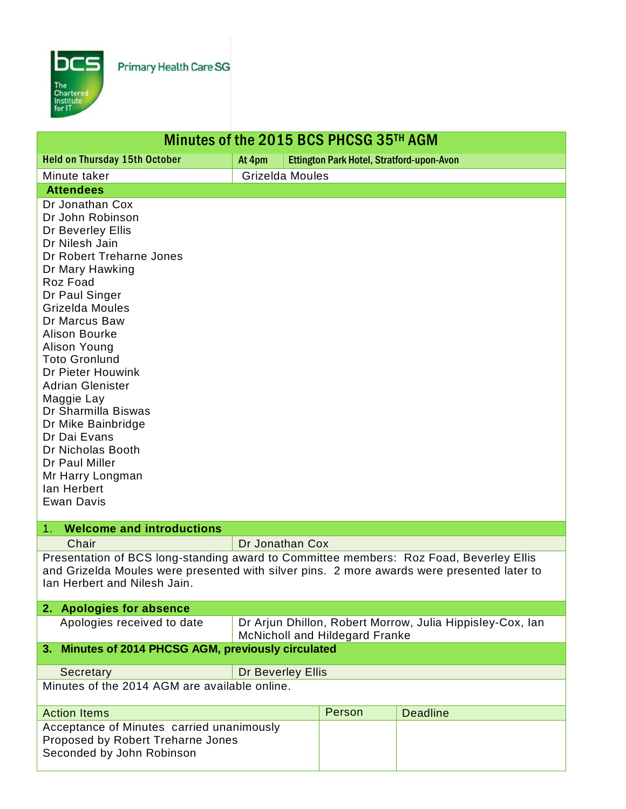

Primary Health Care SG

| Minutes of the 2015 BCS PHCSG 35TH AGM                                                                                                                                                                                                                                                                                                                                                                                                                                                                                          |                                                                                                    |  |                                           |                 |  |
|---------------------------------------------------------------------------------------------------------------------------------------------------------------------------------------------------------------------------------------------------------------------------------------------------------------------------------------------------------------------------------------------------------------------------------------------------------------------------------------------------------------------------------|----------------------------------------------------------------------------------------------------|--|-------------------------------------------|-----------------|--|
| <b>Held on Thursday 15th October</b>                                                                                                                                                                                                                                                                                                                                                                                                                                                                                            | At 4pm                                                                                             |  | Ettington Park Hotel, Stratford-upon-Avon |                 |  |
| Minute taker                                                                                                                                                                                                                                                                                                                                                                                                                                                                                                                    | Grizelda Moules                                                                                    |  |                                           |                 |  |
| <b>Attendees</b>                                                                                                                                                                                                                                                                                                                                                                                                                                                                                                                |                                                                                                    |  |                                           |                 |  |
| Dr Jonathan Cox<br>Dr John Robinson<br>Dr Beverley Ellis<br>Dr Nilesh Jain<br>Dr Robert Treharne Jones<br>Dr Mary Hawking<br>Roz Foad<br>Dr Paul Singer<br>Grizelda Moules<br>Dr Marcus Baw<br><b>Alison Bourke</b><br>Alison Young<br><b>Toto Gronlund</b><br>Dr Pieter Houwink<br><b>Adrian Glenister</b><br>Maggie Lay<br>Dr Sharmilla Biswas<br>Dr Mike Bainbridge<br>Dr Dai Evans<br>Dr Nicholas Booth<br>Dr Paul Miller<br>Mr Harry Longman<br>lan Herbert<br><b>Ewan Davis</b><br><b>Welcome and introductions</b><br>1. |                                                                                                    |  |                                           |                 |  |
| Chair                                                                                                                                                                                                                                                                                                                                                                                                                                                                                                                           |                                                                                                    |  |                                           |                 |  |
| Dr Jonathan Cox<br>Presentation of BCS long-standing award to Committee members: Roz Foad, Beverley Ellis<br>and Grizelda Moules were presented with silver pins. 2 more awards were presented later to<br>Ian Herbert and Nilesh Jain.                                                                                                                                                                                                                                                                                         |                                                                                                    |  |                                           |                 |  |
| 2. Apologies for absence                                                                                                                                                                                                                                                                                                                                                                                                                                                                                                        |                                                                                                    |  |                                           |                 |  |
| Apologies received to date                                                                                                                                                                                                                                                                                                                                                                                                                                                                                                      | Dr Arjun Dhillon, Robert Morrow, Julia Hippisley-Cox, Ian<br><b>McNicholl and Hildegard Franke</b> |  |                                           |                 |  |
| 3. Minutes of 2014 PHCSG AGM, previously circulated                                                                                                                                                                                                                                                                                                                                                                                                                                                                             |                                                                                                    |  |                                           |                 |  |
| Secretary                                                                                                                                                                                                                                                                                                                                                                                                                                                                                                                       | Dr Beverley Ellis                                                                                  |  |                                           |                 |  |
| Minutes of the 2014 AGM are available online.                                                                                                                                                                                                                                                                                                                                                                                                                                                                                   |                                                                                                    |  |                                           |                 |  |
| <b>Action Items</b>                                                                                                                                                                                                                                                                                                                                                                                                                                                                                                             |                                                                                                    |  | Person                                    | <b>Deadline</b> |  |
| Acceptance of Minutes carried unanimously<br>Proposed by Robert Treharne Jones<br>Seconded by John Robinson                                                                                                                                                                                                                                                                                                                                                                                                                     |                                                                                                    |  |                                           |                 |  |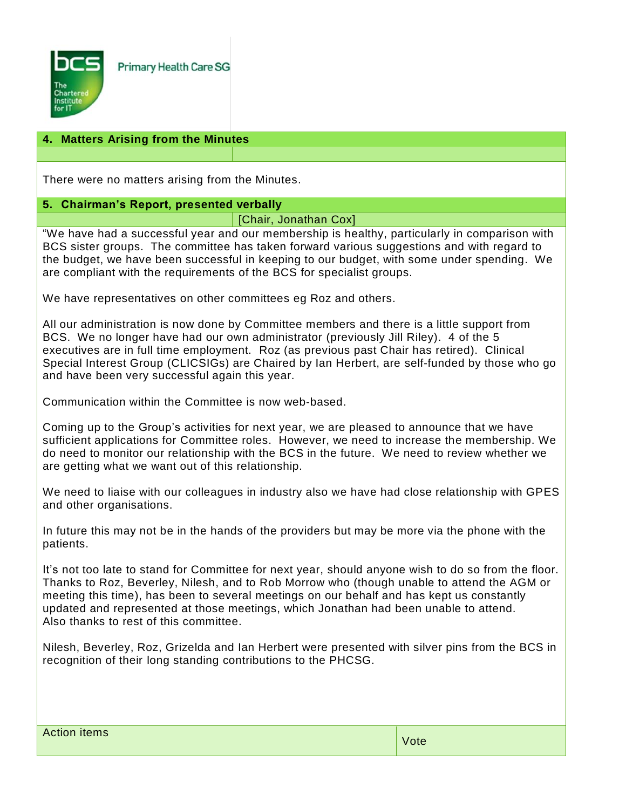

## **4. Matters Arising from the Minutes**

There were no matters arising from the Minutes.

## **5. Chairman's Report, presented verbally**

## [Chair, Jonathan Cox]

"We have had a successful year and our membership is healthy, particularly in comparison with BCS sister groups. The committee has taken forward various suggestions and with regard to the budget, we have been successful in keeping to our budget, with some under spending. We are compliant with the requirements of the BCS for specialist groups.

We have representatives on other committees eg Roz and others.

All our administration is now done by Committee members and there is a little support from BCS. We no longer have had our own administrator (previously Jill Riley). 4 of the 5 executives are in full time employment. Roz (as previous past Chair has retired). Clinical Special Interest Group (CLICSIGs) are Chaired by Ian Herbert, are self-funded by those who go and have been very successful again this year.

Communication within the Committee is now web-based.

Coming up to the Group's activities for next year, we are pleased to announce that we have sufficient applications for Committee roles. However, we need to increase the membership. We do need to monitor our relationship with the BCS in the future. We need to review whether we are getting what we want out of this relationship.

We need to liaise with our colleagues in industry also we have had close relationship with GPES and other organisations.

In future this may not be in the hands of the providers but may be more via the phone with the patients.

It's not too late to stand for Committee for next year, should anyone wish to do so from the floor. Thanks to Roz, Beverley, Nilesh, and to Rob Morrow who (though unable to attend the AGM or meeting this time), has been to several meetings on our behalf and has kept us constantly updated and represented at those meetings, which Jonathan had been unable to attend. Also thanks to rest of this committee.

Nilesh, Beverley, Roz, Grizelda and Ian Herbert were presented with silver pins from the BCS in recognition of their long standing contributions to the PHCSG.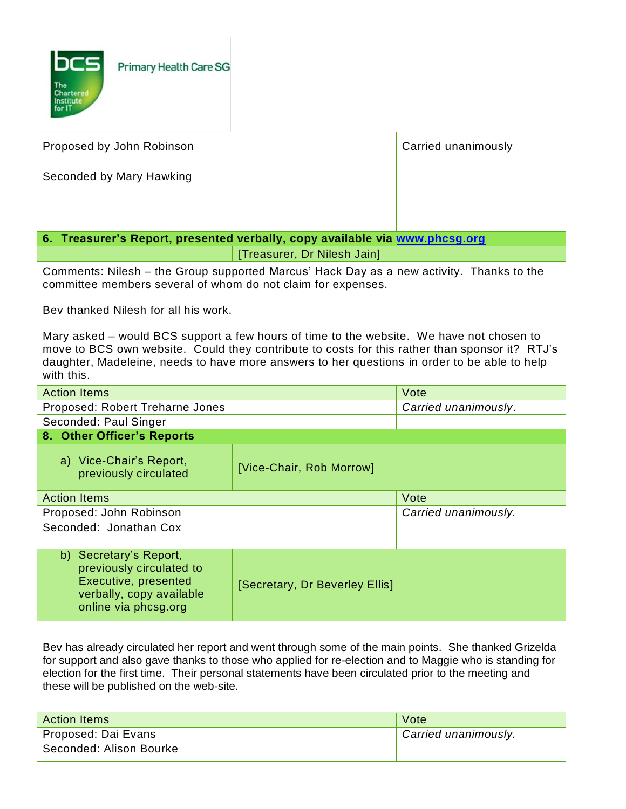

| Proposed by John Robinson                                                                                                                                                                                                                                                                                                                                           |                                | Carried unanimously  |  |  |
|---------------------------------------------------------------------------------------------------------------------------------------------------------------------------------------------------------------------------------------------------------------------------------------------------------------------------------------------------------------------|--------------------------------|----------------------|--|--|
| Seconded by Mary Hawking                                                                                                                                                                                                                                                                                                                                            |                                |                      |  |  |
|                                                                                                                                                                                                                                                                                                                                                                     |                                |                      |  |  |
| 6. Treasurer's Report, presented verbally, copy available via www.phcsg.org                                                                                                                                                                                                                                                                                         |                                |                      |  |  |
|                                                                                                                                                                                                                                                                                                                                                                     | [Treasurer, Dr Nilesh Jain]    |                      |  |  |
| Comments: Nilesh – the Group supported Marcus' Hack Day as a new activity. Thanks to the<br>committee members several of whom do not claim for expenses.                                                                                                                                                                                                            |                                |                      |  |  |
| Bey thanked Nilesh for all his work.                                                                                                                                                                                                                                                                                                                                |                                |                      |  |  |
| Mary asked – would BCS support a few hours of time to the website. We have not chosen to<br>move to BCS own website. Could they contribute to costs for this rather than sponsor it? RTJ's<br>daughter, Madeleine, needs to have more answers to her questions in order to be able to help<br>with this.                                                            |                                |                      |  |  |
| <b>Action Items</b>                                                                                                                                                                                                                                                                                                                                                 |                                | Vote                 |  |  |
| Proposed: Robert Treharne Jones                                                                                                                                                                                                                                                                                                                                     |                                | Carried unanimously. |  |  |
| Seconded: Paul Singer                                                                                                                                                                                                                                                                                                                                               |                                |                      |  |  |
| 8. Other Officer's Reports                                                                                                                                                                                                                                                                                                                                          |                                |                      |  |  |
| a) Vice-Chair's Report,<br>previously circulated                                                                                                                                                                                                                                                                                                                    | [Vice-Chair, Rob Morrow]       |                      |  |  |
| <b>Action Items</b>                                                                                                                                                                                                                                                                                                                                                 |                                | Vote                 |  |  |
| Proposed: John Robinson                                                                                                                                                                                                                                                                                                                                             |                                | Carried unanimously. |  |  |
| Seconded: Jonathan Cox                                                                                                                                                                                                                                                                                                                                              |                                |                      |  |  |
| b) Secretary's Report,<br>previously circulated to<br>Executive, presented<br>verbally, copy available<br>online via phcsg.org                                                                                                                                                                                                                                      | [Secretary, Dr Beverley Ellis] |                      |  |  |
| Bev has already circulated her report and went through some of the main points. She thanked Grizelda<br>for support and also gave thanks to those who applied for re-election and to Maggie who is standing for<br>election for the first time. Their personal statements have been circulated prior to the meeting and<br>these will be published on the web-site. |                                |                      |  |  |
| <b>Action Items</b>                                                                                                                                                                                                                                                                                                                                                 | Vote                           |                      |  |  |
| Proposed: Dai Evans                                                                                                                                                                                                                                                                                                                                                 | Carried unanimously.           |                      |  |  |
| Seconded: Alison Bourke                                                                                                                                                                                                                                                                                                                                             |                                |                      |  |  |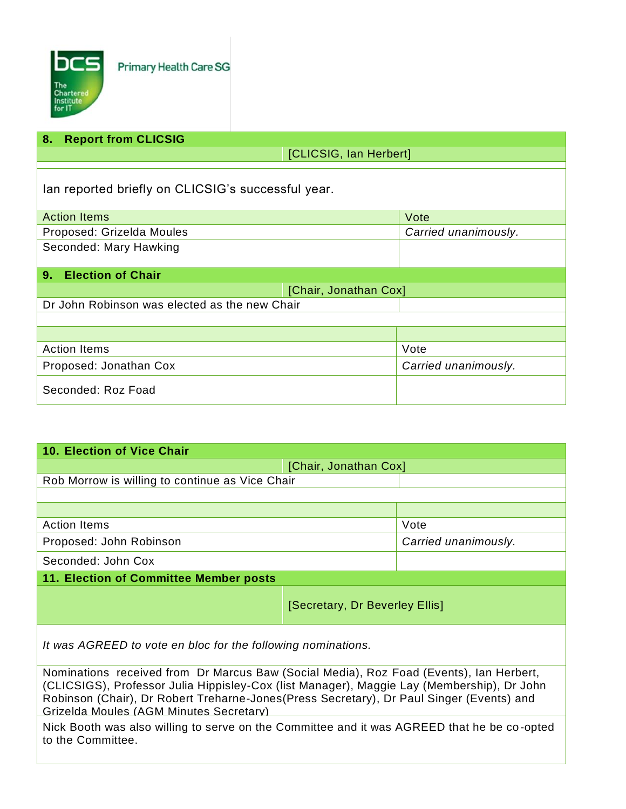

| <b>Report from CLICSIG</b><br>8.                   |                      |  |  |  |
|----------------------------------------------------|----------------------|--|--|--|
|                                                    |                      |  |  |  |
| [CLICSIG, Ian Herbert]                             |                      |  |  |  |
|                                                    |                      |  |  |  |
| lan reported briefly on CLICSIG's successful year. |                      |  |  |  |
|                                                    |                      |  |  |  |
| <b>Action Items</b>                                | Vote                 |  |  |  |
| Proposed: Grizelda Moules                          | Carried unanimously. |  |  |  |
| Seconded: Mary Hawking                             |                      |  |  |  |
|                                                    |                      |  |  |  |
| <b>Election of Chair</b><br>9.                     |                      |  |  |  |
| [Chair, Jonathan Cox]                              |                      |  |  |  |
| Dr John Robinson was elected as the new Chair      |                      |  |  |  |
|                                                    |                      |  |  |  |
|                                                    |                      |  |  |  |
| <b>Action Items</b>                                | Vote                 |  |  |  |
| Proposed: Jonathan Cox                             | Carried unanimously. |  |  |  |
|                                                    |                      |  |  |  |
| Seconded: Roz Foad                                 |                      |  |  |  |

| <b>10. Election of Vice Chair</b>               |                                |                      |  |  |
|-------------------------------------------------|--------------------------------|----------------------|--|--|
| [Chair, Jonathan Cox]                           |                                |                      |  |  |
| Rob Morrow is willing to continue as Vice Chair |                                |                      |  |  |
|                                                 |                                |                      |  |  |
|                                                 |                                |                      |  |  |
| <b>Action Items</b>                             |                                | Vote                 |  |  |
| Proposed: John Robinson                         |                                | Carried unanimously. |  |  |
| Seconded: John Cox                              |                                |                      |  |  |
| 11. Election of Committee Member posts          |                                |                      |  |  |
|                                                 | [Secretary, Dr Beverley Ellis] |                      |  |  |
|                                                 |                                |                      |  |  |

*It was AGREED to vote en bloc for the following nominations.*

Nominations received from Dr Marcus Baw (Social Media), Roz Foad (Events), Ian Herbert, (CLICSIGS), Professor Julia Hippisley-Cox (list Manager), Maggie Lay (Membership), Dr John Robinson (Chair), Dr Robert Treharne-Jones(Press Secretary), Dr Paul Singer (Events) and Grizelda Moules (AGM Minutes Secretary)

Nick Booth was also willing to serve on the Committee and it was AGREED that he be co-opted to the Committee.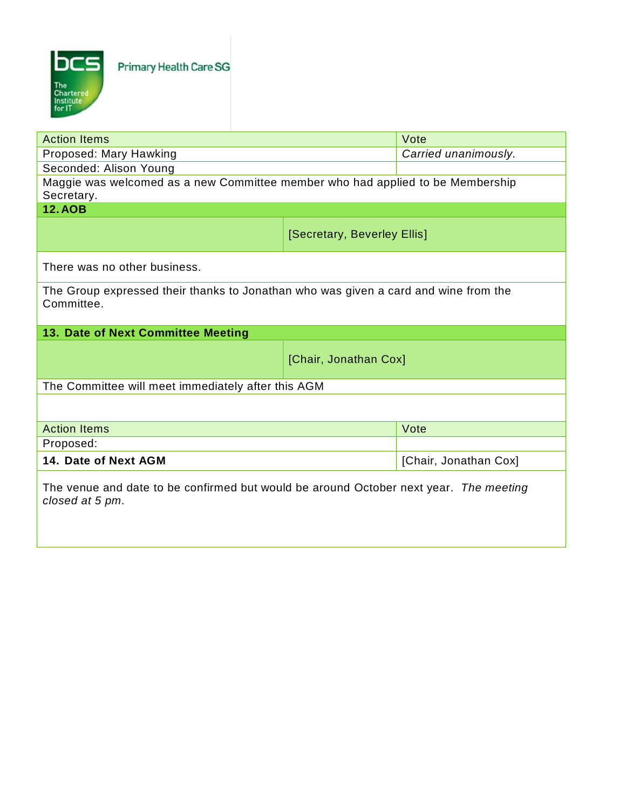

| <b>Action Items</b>                                                                                      | Vote                  |      |  |  |  |
|----------------------------------------------------------------------------------------------------------|-----------------------|------|--|--|--|
| Proposed: Mary Hawking                                                                                   | Carried unanimously.  |      |  |  |  |
| Seconded: Alison Young                                                                                   |                       |      |  |  |  |
| Maggie was welcomed as a new Committee member who had applied to be Membership<br>Secretary.             |                       |      |  |  |  |
| <b>12.AOB</b>                                                                                            |                       |      |  |  |  |
| [Secretary, Beverley Ellis]                                                                              |                       |      |  |  |  |
| There was no other business.                                                                             |                       |      |  |  |  |
| The Group expressed their thanks to Jonathan who was given a card and wine from the<br>Committee.        |                       |      |  |  |  |
| 13. Date of Next Committee Meeting                                                                       |                       |      |  |  |  |
| [Chair, Jonathan Cox]                                                                                    |                       |      |  |  |  |
| The Committee will meet immediately after this AGM                                                       |                       |      |  |  |  |
|                                                                                                          |                       |      |  |  |  |
| <b>Action Items</b>                                                                                      |                       | Vote |  |  |  |
| Proposed:                                                                                                |                       |      |  |  |  |
| 14. Date of Next AGM                                                                                     | [Chair, Jonathan Cox] |      |  |  |  |
| The venue and date to be confirmed but would be around October next year. The meeting<br>closed at 5 pm. |                       |      |  |  |  |